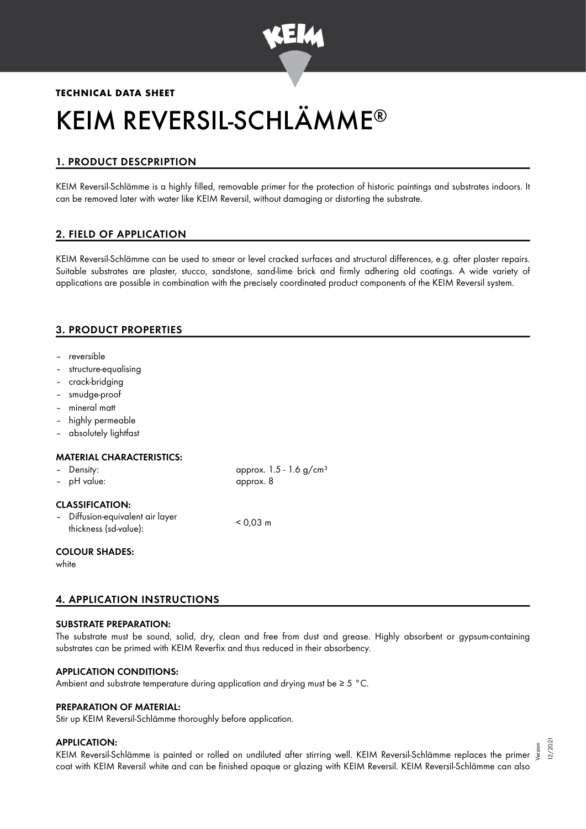

# **TECHNICAL DATA SHEET** KEIM REVERSIL-SCHLÄMME ®

# 1. PRODUCT DESCPRIPTION

KEIM Reversil-Schlämme is a highly filled, removable primer for the protection of historic paintings and substrates indoors. It can be removed later with water like KEIM Reversil, without damaging or distorting the substrate.

## 2. FIELD OF APPLICATION

KEIM Reversil-Schlämme can be used to smear or level cracked surfaces and structural differences, e.g. after plaster repairs. Suitable substrates are plaster, stucco, sandstone, sand-lime brick and firmly adhering old coatings. A wide variety of applications are possible in combination with the precisely coordinated product components of the KEIM Reversil system.

## 3. PRODUCT PROPERTIES

- reversible
- structure-equalising
- crack-bridging
- smudge-proof
- mineral matt
- highly permeable
- absolutely lightfast

#### MATERIAL CHARACTERISTICS:

| - Density:<br>- pH value:                                                           | approx. $1.5 - 1.6$ g/cm <sup>3</sup><br>approx. 8 |
|-------------------------------------------------------------------------------------|----------------------------------------------------|
| <b>CLASSIFICATION:</b><br>- Diffusion-equivalent air layer<br>thickness (sd-value): | $< 0.03$ m                                         |
| <b>COLOUR SHADES:</b>                                                               |                                                    |

white

## 4. APPLICATION INSTRUCTIONS

#### SUBSTRATE PREPARATION:

The substrate must be sound, solid, dry, clean and free from dust and grease. Highly absorbent or gypsum-containing substrates can be primed with KEIM Reverfix and thus reduced in their absorbency.

#### APPLICATION CONDITIONS:

Ambient and substrate temperature during application and drying must be ≥ 5 °C.

#### PREPARATION OF MATERIAL:

Stir up KEIM Reversil-Schlämme thoroughly before application.

#### APPLICATION:

5 .<br>KEIM Reversil-Schlämme is painted or rolled on undiluted after stirring well. KEIM Reversil-Schlämme replaces the primer ﷺ coat with KEIM Reversil white and can be finished opaque or glazing with KEIM Reversil. KEIM Reversil-Schlämme can also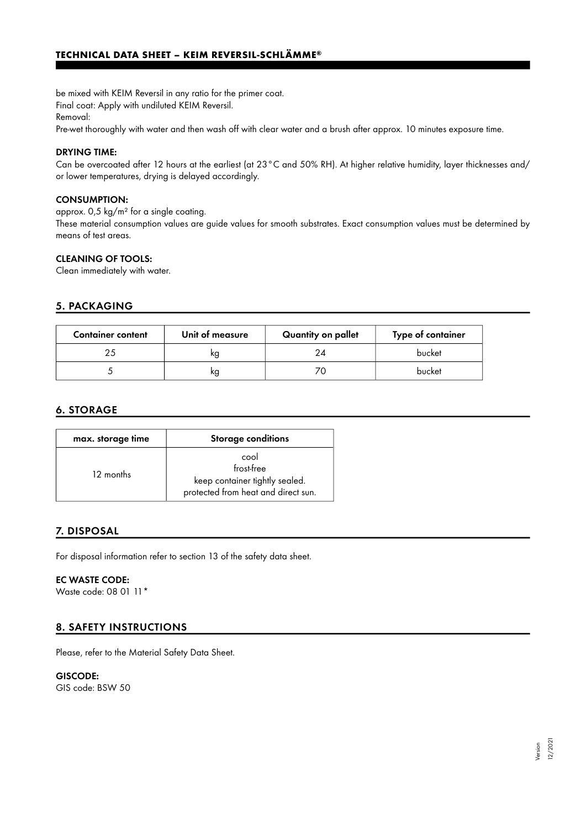be mixed with KEIM Reversil in any ratio for the primer coat. Final coat: Apply with undiluted KEIM Reversil.

Removal:

Pre-wet thoroughly with water and then wash off with clear water and a brush after approx. 10 minutes exposure time.

#### DRYING TIME:

Can be overcoated after 12 hours at the earliest (at 23°C and 50% RH). At higher relative humidity, layer thicknesses and/ or lower temperatures, drying is delayed accordingly.

#### CONSUMPTION:

approx. 0,5 kg/m² for a single coating.

These material consumption values are guide values for smooth substrates. Exact consumption values must be determined by means of test areas.

#### CLEANING OF TOOLS:

Clean immediately with water.

#### 5. PACKAGING

| <b>Container content</b> | Unit of measure | Quantity on pallet | Type of container |
|--------------------------|-----------------|--------------------|-------------------|
| つら                       | kq              |                    | bucket            |
|                          | ĸg              |                    | bucket            |

## 6. STORAGE

| max. storage time | Storage conditions                                                                          |
|-------------------|---------------------------------------------------------------------------------------------|
| 12 months         | cool<br>frost-free<br>keep container tightly sealed.<br>protected from heat and direct sun. |

#### 7. DISPOSAL

For disposal information refer to section 13 of the safety data sheet.

#### EC WASTE CODE:

Waste code: 08 01 11\*

## 8. SAFETY INSTRUCTIONS

Please, refer to the Material Safety Data Sheet.

# GISCODE:

GIS code: BSW 50